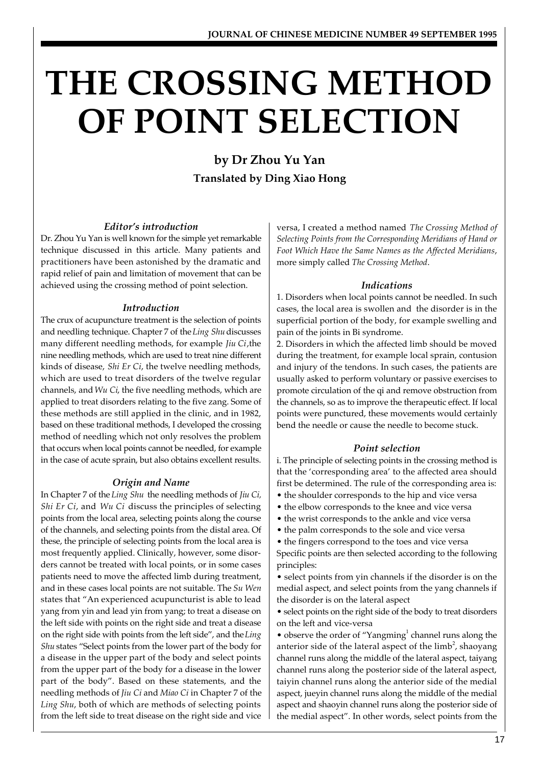# **THE CROSSING METHOD OF POINT SELECTION**

**by Dr Zhou Yu Yan Translated by Ding Xiao Hong**

#### *Editor's introduction*

Dr. Zhou Yu Yan is well known for the simple yet remarkable technique discussed in this article. Many patients and practitioners have been astonished by the dramatic and rapid relief of pain and limitation of movement that can be achieved using the crossing method of point selection.

#### *Introduction*

The crux of acupuncture treatment is the selection of points and needling technique. Chapter 7 of the *Ling Shu* discusses many different needling methods, for example *Jiu Ci*,the nine needling methods, which are used to treat nine different kinds of disease, *Shi Er Ci*, the twelve needling methods, which are used to treat disorders of the twelve regular channels, and *Wu Ci*, the five needling methods, which are applied to treat disorders relating to the five zang. Some of these methods are still applied in the clinic, and in 1982, based on these traditional methods, I developed the crossing method of needling which not only resolves the problem that occurs when local points cannot be needled, for example in the case of acute sprain, but also obtains excellent results.

#### *Origin and Name*

In Chapter 7 of the *Ling Shu* the needling methods of *Jiu Ci, Shi Er Ci*, and *Wu Ci* discuss the principles of selecting points from the local area, selecting points along the course of the channels, and selecting points from the distal area. Of these, the principle of selecting points from the local area is most frequently applied. Clinically, however, some disorders cannot be treated with local points, or in some cases patients need to move the affected limb during treatment, and in these cases local points are not suitable. The *Su Wen* states that "An experienced acupuncturist is able to lead yang from yin and lead yin from yang; to treat a disease on the left side with points on the right side and treat a disease on the right side with points from the left side", and the *Ling Shu* states "Select points from the lower part of the body for a disease in the upper part of the body and select points from the upper part of the body for a disease in the lower part of the body". Based on these statements, and the needling methods of *Jiu Ci* and *Miao Ci* in Chapter 7 of the *Ling Shu*, both of which are methods of selecting points from the left side to treat disease on the right side and vice versa, I created a method named *The Crossing Method of Selecting Points from the Corresponding Meridians of Hand or Foot Which Have the Same Names as the Affected Meridians*, more simply called *The Crossing Method*.

#### *Indications*

1. Disorders when local points cannot be needled. In such cases, the local area is swollen and the disorder is in the superficial portion of the body, for example swelling and pain of the joints in Bi syndrome.

2. Disorders in which the affected limb should be moved during the treatment, for example local sprain, contusion and injury of the tendons. In such cases, the patients are usually asked to perform voluntary or passive exercises to promote circulation of the qi and remove obstruction from the channels, so as to improve the therapeutic effect. If local points were punctured, these movements would certainly bend the needle or cause the needle to become stuck.

## *Point selection*

i. The principle of selecting points in the crossing method is that the 'corresponding area' to the affected area should first be determined. The rule of the corresponding area is:

- the shoulder corresponds to the hip and vice versa
- the elbow corresponds to the knee and vice versa
- the wrist corresponds to the ankle and vice versa
- the palm corresponds to the sole and vice versa
- the fingers correspond to the toes and vice versa

Specific points are then selected according to the following principles:

• select points from yin channels if the disorder is on the medial aspect, and select points from the yang channels if the disorder is on the lateral aspect

• select points on the right side of the body to treat disorders on the left and vice-versa

 $\bullet$  observe the order of "Yangming<sup>1</sup> channel runs along the anterior side of the lateral aspect of the  $limb^2$ , shaoyang channel runs along the middle of the lateral aspect, taiyang channel runs along the posterior side of the lateral aspect, taiyin channel runs along the anterior side of the medial aspect, jueyin channel runs along the middle of the medial aspect and shaoyin channel runs along the posterior side of the medial aspect". In other words, select points from the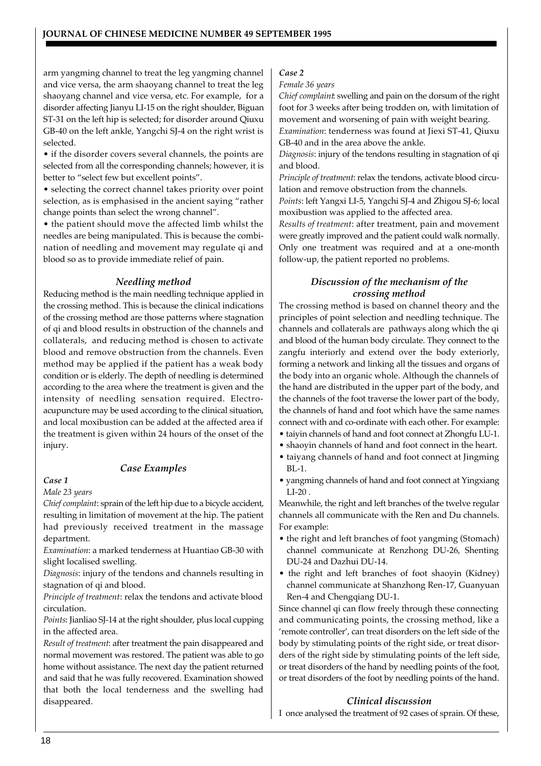arm yangming channel to treat the leg yangming channel and vice versa, the arm shaoyang channel to treat the leg shaoyang channel and vice versa, etc. For example, for a disorder affecting Jianyu LI-15 on the right shoulder, Biguan ST-31 on the left hip is selected; for disorder around Qiuxu GB-40 on the left ankle, Yangchi SJ-4 on the right wrist is selected.

• if the disorder covers several channels, the points are selected from all the corresponding channels; however, it is better to "select few but excellent points".

• selecting the correct channel takes priority over point selection, as is emphasised in the ancient saying "rather change points than select the wrong channel".

• the patient should move the affected limb whilst the needles are being manipulated. This is because the combination of needling and movement may regulate qi and blood so as to provide immediate relief of pain.

#### *Needling method*

Reducing method is the main needling technique applied in the crossing method. This is because the clinical indications of the crossing method are those patterns where stagnation of qi and blood results in obstruction of the channels and collaterals, and reducing method is chosen to activate blood and remove obstruction from the channels. Even method may be applied if the patient has a weak body condition or is elderly. The depth of needling is determined according to the area where the treatment is given and the intensity of needling sensation required. Electroacupuncture may be used according to the clinical situation, and local moxibustion can be added at the affected area if the treatment is given within 24 hours of the onset of the injury.

#### *Case Examples*

#### *Case 1*

*Male 23 years*

*Chief complaint*: sprain of the left hip due to a bicycle accident, resulting in limitation of movement at the hip. The patient had previously received treatment in the massage department.

*Examination*: a marked tenderness at Huantiao GB-30 with slight localised swelling.

*Diagnosis*: injury of the tendons and channels resulting in stagnation of qi and blood.

*Principle of treatment*: relax the tendons and activate blood circulation.

*Points*: Jianliao SJ-14 at the right shoulder, plus local cupping in the affected area.

*Result of treatment*: after treatment the pain disappeared and normal movement was restored. The patient was able to go home without assistance. The next day the patient returned and said that he was fully recovered. Examination showed that both the local tenderness and the swelling had disappeared.

#### *Case 2*

*Female 36 years*

*Chief complaint*: swelling and pain on the dorsum of the right foot for 3 weeks after being trodden on, with limitation of movement and worsening of pain with weight bearing. *Examination*: tenderness was found at Jiexi ST-41, Qiuxu

GB-40 and in the area above the ankle. *Diagnosis*: injury of the tendons resulting in stagnation of qi and blood.

*Principle of treatment*: relax the tendons, activate blood circulation and remove obstruction from the channels.

*Points*: left Yangxi LI-5, Yangchi SJ-4 and Zhigou SJ-6; local moxibustion was applied to the affected area.

*Results of treatment*: after treatment, pain and movement were greatly improved and the patient could walk normally. Only one treatment was required and at a one-month follow-up, the patient reported no problems.

#### *Discussion of the mechanism of the crossing method*

The crossing method is based on channel theory and the principles of point selection and needling technique. The channels and collaterals are pathways along which the qi and blood of the human body circulate. They connect to the zangfu interiorly and extend over the body exteriorly, forming a network and linking all the tissues and organs of the body into an organic whole. Although the channels of the hand are distributed in the upper part of the body, and the channels of the foot traverse the lower part of the body, the channels of hand and foot which have the same names connect with and co-ordinate with each other. For example:

- taiyin channels of hand and foot connect at Zhongfu LU-1.
- shaoyin channels of hand and foot connect in the heart.
- taiyang channels of hand and foot connect at Jingming BL-1.
- yangming channels of hand and foot connect at Yingxiang LI-20 .

Meanwhile, the right and left branches of the twelve regular channels all communicate with the Ren and Du channels. For example:

- the right and left branches of foot yangming (Stomach) channel communicate at Renzhong DU-26, Shenting DU-24 and Dazhui DU-14.
- the right and left branches of foot shaoyin (Kidney) channel communicate at Shanzhong Ren-17, Guanyuan Ren-4 and Chengqiang DU-1.

Since channel qi can flow freely through these connecting and communicating points, the crossing method, like a 'remote controller', can treat disorders on the left side of the body by stimulating points of the right side, or treat disorders of the right side by stimulating points of the left side, or treat disorders of the hand by needling points of the foot, or treat disorders of the foot by needling points of the hand.

### *Clinical discussion*

I once analysed the treatment of 92 cases of sprain. Of these,